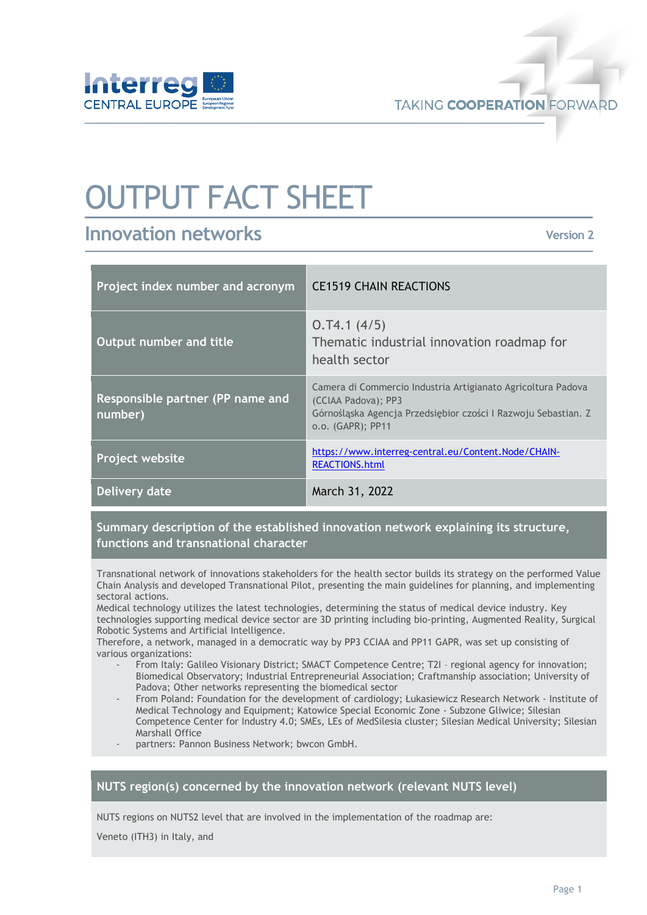

**TAKING COOPERATION FORWARD** 

# OUTPUT FACT SHEET

# **Innovation networks**

**Version 2**

| Project index number and acronym            | <b>CE1519 CHAIN REACTIONS</b>                                                                                                                                              |
|---------------------------------------------|----------------------------------------------------------------------------------------------------------------------------------------------------------------------------|
| Output number and title                     | 0.74.1(4/5)<br>Thematic industrial innovation roadmap for<br>health sector                                                                                                 |
| Responsible partner (PP name and<br>number) | Camera di Commercio Industria Artigianato Agricoltura Padova<br>(CCIAA Padova); PP3<br>Górnośląska Agencja Przedsiębior czości I Razwoju Sebastian. Z<br>o.o. (GAPR); PP11 |
| Project website                             | https://www.interreg-central.eu/Content.Node/CHAIN-<br><b>REACTIONS.html</b>                                                                                               |
| Delivery date                               | March 31, 2022                                                                                                                                                             |

# **Summary description of the established innovation network explaining its structure, functions and transnational character**

Transnational network of innovations stakeholders for the health sector builds its strategy on the performed Value Chain Analysis and developed Transnational Pilot, presenting the main guidelines for planning, and implementing sectoral actions.

Medical technology utilizes the latest technologies, determining the status of medical device industry. Key technologies supporting medical device sector are 3D printing including bio-printing, Augmented Reality, Surgical Robotic Systems and Artificial Intelligence.

Therefore, a network, managed in a democratic way by PP3 CCIAA and PP11 GAPR, was set up consisting of various organizations:

- From Italy: Galileo Visionary District; SMACT Competence Centre; T2I regional agency for innovation; Biomedical Observatory; Industrial Entrepreneurial Association; Craftmanship association; University of Padova; Other networks representing the biomedical sector
- From Poland: Foundation for the development of cardiology; Łukasiewicz Research Network Institute of Medical Technology and Equipment; Katowice Special Economic Zone - Subzone Gliwice; Silesian Competence Center for Industry 4.0; SMEs, LEs of MedSilesia cluster; Silesian Medical University; Silesian Marshall Office
- partners: Pannon Business Network; bwcon GmbH.

#### **NUTS region(s) concerned by the innovation network (relevant NUTS level)**

NUTS regions on NUTS2 level that are involved in the implementation of the roadmap are:

Veneto (ITH3) in Italy, and